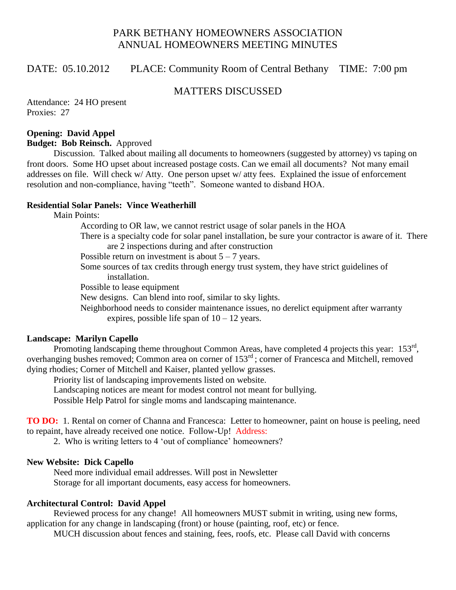# PARK BETHANY HOMEOWNERS ASSOCIATION ANNUAL HOMEOWNERS MEETING MINUTES

## DATE: 05.10.2012 PLACE: Community Room of Central Bethany TIME: 7:00 pm

## MATTERS DISCUSSED

Attendance: 24 HO present Proxies: 27

### **Opening: David Appel**

**Budget: Bob Reinsch.** Approved

Discussion. Talked about mailing all documents to homeowners (suggested by attorney) vs taping on front doors. Some HO upset about increased postage costs. Can we email all documents? Not many email addresses on file. Will check w/ Atty. One person upset w/ atty fees. Explained the issue of enforcement resolution and non-compliance, having "teeth". Someone wanted to disband HOA.

## **Residential Solar Panels: Vince Weatherhill**

Main Points:

According to OR law, we cannot restrict usage of solar panels in the HOA

There is a specialty code for solar panel installation, be sure your contractor is aware of it. There are 2 inspections during and after construction

Possible return on investment is about  $5 - 7$  years.

Some sources of tax credits through energy trust system, they have strict guidelines of installation.

Possible to lease equipment

New designs. Can blend into roof, similar to sky lights.

Neighborhood needs to consider maintenance issues, no derelict equipment after warranty expires, possible life span of  $10 - 12$  years.

### **Landscape: Marilyn Capello**

Promoting landscaping theme throughout Common Areas, have completed 4 projects this year: 153<sup>rd</sup>, overhanging bushes removed; Common area on corner of 153<sup>rd</sup>; corner of Francesca and Mitchell, removed dying rhodies; Corner of Mitchell and Kaiser, planted yellow grasses.

Priority list of landscaping improvements listed on website.

Landscaping notices are meant for modest control not meant for bullying.

Possible Help Patrol for single moms and landscaping maintenance.

**TO DO:** 1. Rental on corner of Channa and Francesca: Letter to homeowner, paint on house is peeling, need to repaint, have already received one notice. Follow-Up! Address:

2. Who is writing letters to 4 'out of compliance' homeowners?

### **New Website: Dick Capello**

Need more individual email addresses. Will post in Newsletter Storage for all important documents, easy access for homeowners.

### **Architectural Control: David Appel**

Reviewed process for any change! All homeowners MUST submit in writing, using new forms, application for any change in landscaping (front) or house (painting, roof, etc) or fence.

MUCH discussion about fences and staining, fees, roofs, etc. Please call David with concerns